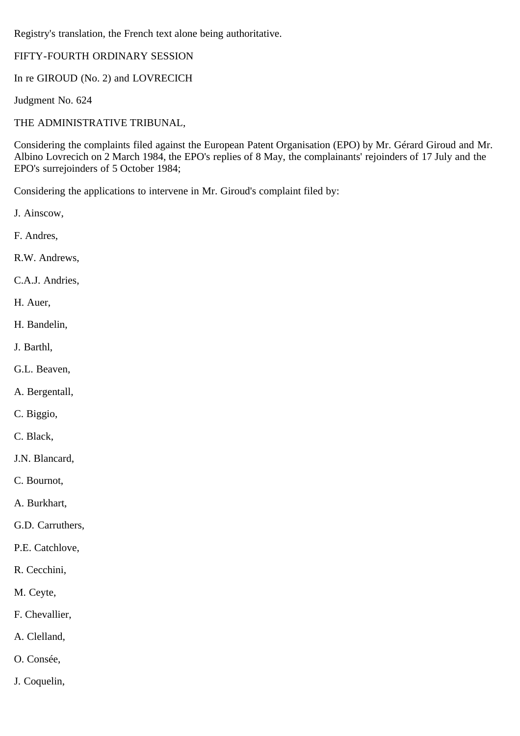Registry's translation, the French text alone being authoritative.

# FIFTY-FOURTH ORDINARY SESSION

In re GIROUD (No. 2) and LOVRECICH

Judgment No. 624

THE ADMINISTRATIVE TRIBUNAL,

Considering the complaints filed against the European Patent Organisation (EPO) by Mr. Gérard Giroud and Mr. Albino Lovrecich on 2 March 1984, the EPO's replies of 8 May, the complainants' rejoinders of 17 July and the EPO's surrejoinders of 5 October 1984;

Considering the applications to intervene in Mr. Giroud's complaint filed by:

J. Ainscow,

F. Andres,

R.W. Andrews,

C.A.J. Andries,

H. Auer,

H. Bandelin,

J. Barthl,

G.L. Beaven,

A. Bergentall,

C. Biggio,

C. Black,

J.N. Blancard,

C. Bournot,

A. Burkhart,

G.D. Carruthers,

P.E. Catchlove,

R. Cecchini,

M. Ceyte,

F. Chevallier,

A. Clelland,

O. Consée,

J. Coquelin,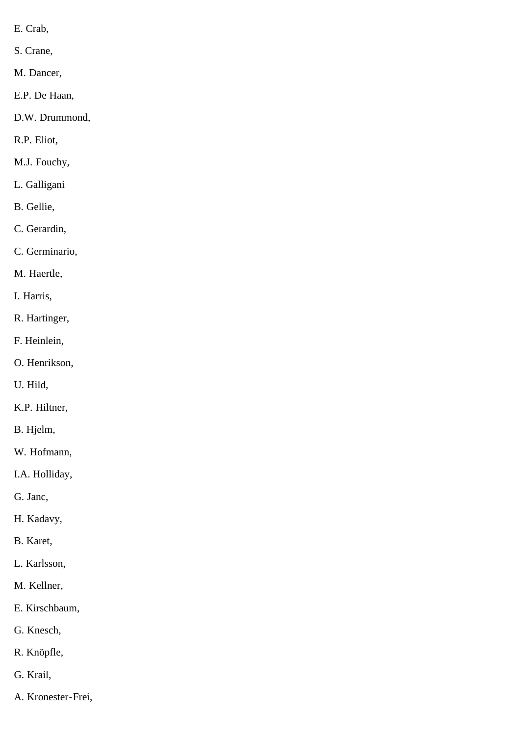- E. Crab,
- S. Crane,
- M. Dancer,
- E.P. De Haan,
- D.W. Drummond,
- R.P. Eliot,
- M.J. Fouchy,
- L. Galligani
- B. Gellie,
- C. Gerardin,
- C. Germinario,
- M. Haertle,
- I. Harris,
- R. Hartinger,
- F. Heinlein,
- O. Henrikson,
- U. Hild,
- K.P. Hiltner,
- B. Hjelm,
- W. Hofmann,
- I.A. Holliday,
- G. Janc,
- H. Kadavy,
- B. Karet,
- L. Karlsson,
- M. Kellner,
- E. Kirschbaum,
- G. Knesch,
- R. Knöpfle,
- G. Krail,
- A. Kronester-Frei,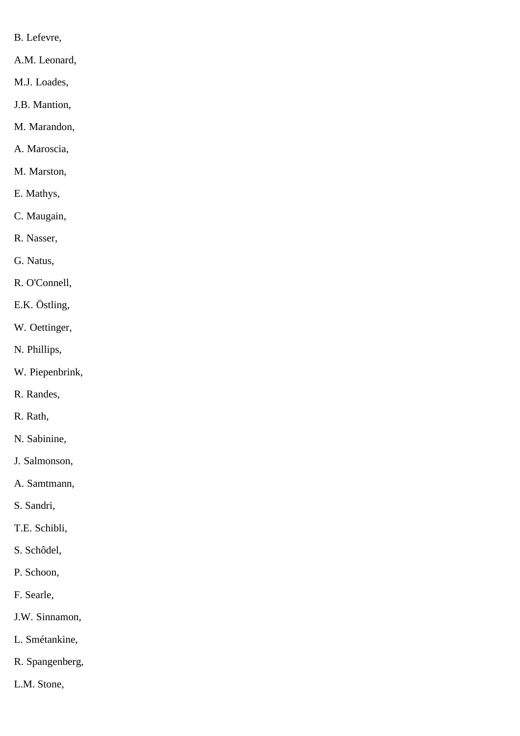- B. Lefevre,
- A.M. Leonard,
- M.J. Loades,
- J.B. Mantion,
- M. Marandon,
- A. Maroscia,
- M. Marston,
- E. Mathys,
- C. Maugain,
- R. Nasser,
- G. Natus,
- R. O'Connell,
- E.K. Östling,
- W. Oettinger,
- N. Phillips,
- W. Piepenbrink,
- R. Randes,
- R. Rath,
- N. Sabinine,
- J. Salmonson,
- A. Samtmann,
- S. Sandri,
- T.E. Schibli,
- S. Schôdel,
- P. Schoon,
- F. Searle,
- J.W. Sinnamon,
- L. Smétankine,
- R. Spangenberg,
- L.M. Stone,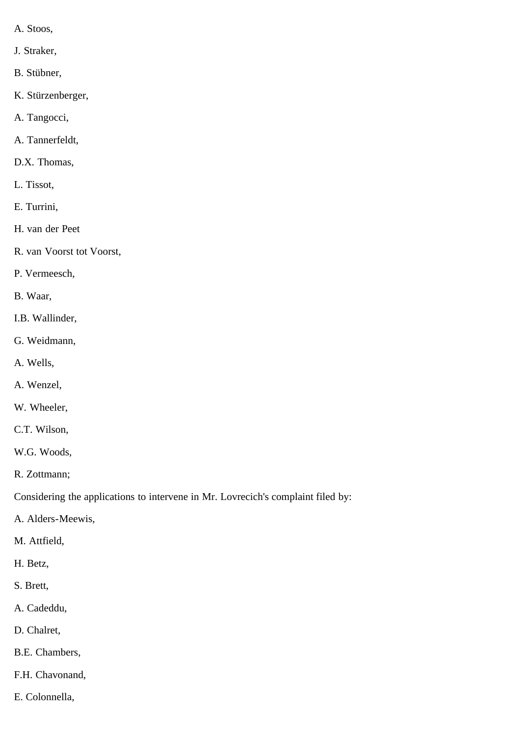- A. Stoos,
- J. Straker,
- B. Stübner,
- K. Stürzenberger,
- A. Tangocci,
- A. Tannerfeldt,
- D.X. Thomas,
- L. Tissot,
- E. Turrini,
- H. van der Peet
- R. van Voorst tot Voorst,
- P. Vermeesch,
- B. Waar,
- I.B. Wallinder,
- G. Weidmann,
- A. Wells,
- A. Wenzel,
- W. Wheeler,
- C.T. Wilson,
- W.G. Woods,
- R. Zottmann;

Considering the applications to intervene in Mr. Lovrecich's complaint filed by:

- A. Alders-Meewis,
- M. Attfield,
- H. Betz,
- S. Brett,
- A. Cadeddu,
- D. Chalret,
- B.E. Chambers,
- F.H. Chavonand,
- E. Colonnella,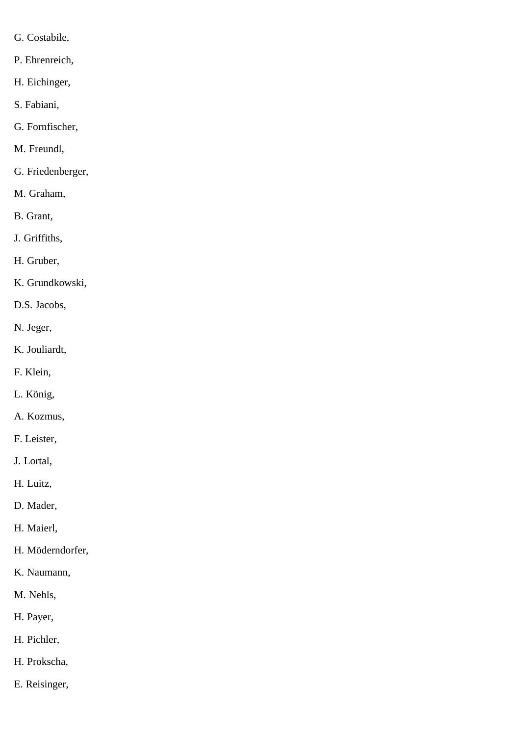- G. Costabile,
- P. Ehrenreich,
- H. Eichinger,
- S. Fabiani,
- G. Fornfischer,
- M. Freundl,
- G. Friedenberger,
- M. Graham,
- B. Grant,
- J. Griffiths,
- H. Gruber,
- K. Grundkowski,
- D.S. Jacobs,
- N. Jeger,
- K. Jouliardt,
- F. Klein,
- L. König,
- A. Kozmus,
- F. Leister,
- J. Lortal,
- H. Luitz,
- D. Mader,
- H. Maierl,
- H. Möderndorfer,
- K. Naumann,
- M. Nehls,
- H. Payer,
- H. Pichler,
- H. Prokscha,
- E. Reisinger,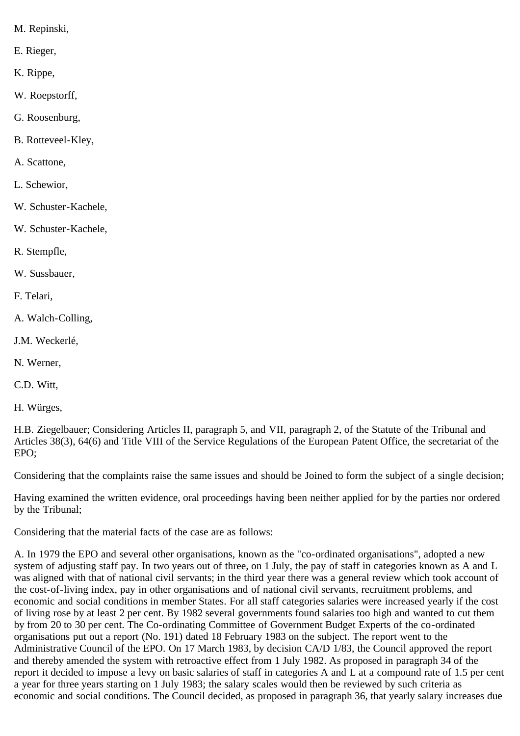- M. Repinski,
- E. Rieger,
- K. Rippe,
- W. Roepstorff,
- G. Roosenburg,
- B. Rotteveel-Kley,
- A. Scattone,
- L. Schewior,
- W. Schuster-Kachele,
- W. Schuster-Kachele,
- R. Stempfle,
- W. Sussbauer,
- F. Telari,
- A. Walch-Colling,
- J.M. Weckerlé,
- N. Werner,
- C.D. Witt,
- H. Würges,

H.B. Ziegelbauer; Considering Articles II, paragraph 5, and VII, paragraph 2, of the Statute of the Tribunal and Articles 38(3), 64(6) and Title VIII of the Service Regulations of the European Patent Office, the secretariat of the EPO;

Considering that the complaints raise the same issues and should be Joined to form the subject of a single decision;

Having examined the written evidence, oral proceedings having been neither applied for by the parties nor ordered by the Tribunal;

Considering that the material facts of the case are as follows:

A. In 1979 the EPO and several other organisations, known as the "co-ordinated organisations", adopted a new system of adjusting staff pay. In two years out of three, on 1 July, the pay of staff in categories known as A and L was aligned with that of national civil servants; in the third year there was a general review which took account of the cost-of-living index, pay in other organisations and of national civil servants, recruitment problems, and economic and social conditions in member States. For all staff categories salaries were increased yearly if the cost of living rose by at least 2 per cent. By 1982 several governments found salaries too high and wanted to cut them by from 20 to 30 per cent. The Co-ordinating Committee of Government Budget Experts of the co-ordinated organisations put out a report (No. 191) dated 18 February 1983 on the subject. The report went to the Administrative Council of the EPO. On 17 March 1983, by decision CA/D 1/83, the Council approved the report and thereby amended the system with retroactive effect from 1 July 1982. As proposed in paragraph 34 of the report it decided to impose a levy on basic salaries of staff in categories A and L at a compound rate of 1.5 per cent a year for three years starting on 1 July 1983; the salary scales would then be reviewed by such criteria as economic and social conditions. The Council decided, as proposed in paragraph 36, that yearly salary increases due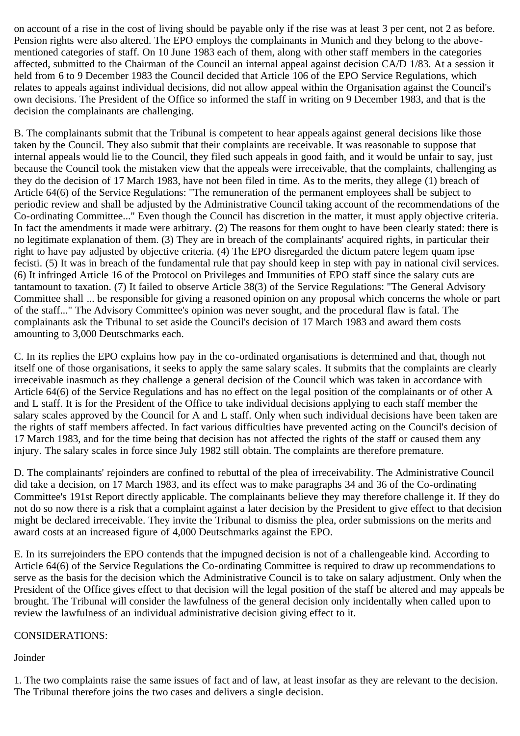on account of a rise in the cost of living should be payable only if the rise was at least 3 per cent, not 2 as before. Pension rights were also altered. The EPO employs the complainants in Munich and they belong to the abovementioned categories of staff. On 10 June 1983 each of them, along with other staff members in the categories affected, submitted to the Chairman of the Council an internal appeal against decision CA/D 1/83. At a session it held from 6 to 9 December 1983 the Council decided that Article 106 of the EPO Service Regulations, which relates to appeals against individual decisions, did not allow appeal within the Organisation against the Council's own decisions. The President of the Office so informed the staff in writing on 9 December 1983, and that is the decision the complainants are challenging.

B. The complainants submit that the Tribunal is competent to hear appeals against general decisions like those taken by the Council. They also submit that their complaints are receivable. It was reasonable to suppose that internal appeals would lie to the Council, they filed such appeals in good faith, and it would be unfair to say, just because the Council took the mistaken view that the appeals were irreceivable, that the complaints, challenging as they do the decision of 17 March 1983, have not been filed in time. As to the merits, they allege (1) breach of Article 64(6) of the Service Regulations: "The remuneration of the permanent employees shall be subject to periodic review and shall be adjusted by the Administrative Council taking account of the recommendations of the Co-ordinating Committee..." Even though the Council has discretion in the matter, it must apply objective criteria. In fact the amendments it made were arbitrary. (2) The reasons for them ought to have been clearly stated: there is no legitimate explanation of them. (3) They are in breach of the complainants' acquired rights, in particular their right to have pay adjusted by objective criteria. (4) The EPO disregarded the dictum patere legem quam ipse fecisti. (5) It was in breach of the fundamental rule that pay should keep in step with pay in national civil services. (6) It infringed Article 16 of the Protocol on Privileges and Immunities of EPO staff since the salary cuts are tantamount to taxation. (7) It failed to observe Article 38(3) of the Service Regulations: "The General Advisory Committee shall ... be responsible for giving a reasoned opinion on any proposal which concerns the whole or part of the staff..." The Advisory Committee's opinion was never sought, and the procedural flaw is fatal. The complainants ask the Tribunal to set aside the Council's decision of 17 March 1983 and award them costs amounting to 3,000 Deutschmarks each.

C. In its replies the EPO explains how pay in the co-ordinated organisations is determined and that, though not itself one of those organisations, it seeks to apply the same salary scales. It submits that the complaints are clearly irreceivable inasmuch as they challenge a general decision of the Council which was taken in accordance with Article 64(6) of the Service Regulations and has no effect on the legal position of the complainants or of other A and L staff. It is for the President of the Office to take individual decisions applying to each staff member the salary scales approved by the Council for A and L staff. Only when such individual decisions have been taken are the rights of staff members affected. In fact various difficulties have prevented acting on the Council's decision of 17 March 1983, and for the time being that decision has not affected the rights of the staff or caused them any injury. The salary scales in force since July 1982 still obtain. The complaints are therefore premature.

D. The complainants' rejoinders are confined to rebuttal of the plea of irreceivability. The Administrative Council did take a decision, on 17 March 1983, and its effect was to make paragraphs 34 and 36 of the Co-ordinating Committee's 191st Report directly applicable. The complainants believe they may therefore challenge it. If they do not do so now there is a risk that a complaint against a later decision by the President to give effect to that decision might be declared irreceivable. They invite the Tribunal to dismiss the plea, order submissions on the merits and award costs at an increased figure of 4,000 Deutschmarks against the EPO.

E. In its surrejoinders the EPO contends that the impugned decision is not of a challengeable kind. According to Article 64(6) of the Service Regulations the Co-ordinating Committee is required to draw up recommendations to serve as the basis for the decision which the Administrative Council is to take on salary adjustment. Only when the President of the Office gives effect to that decision will the legal position of the staff be altered and may appeals be brought. The Tribunal will consider the lawfulness of the general decision only incidentally when called upon to review the lawfulness of an individual administrative decision giving effect to it.

## CONSIDERATIONS:

Joinder

1. The two complaints raise the same issues of fact and of law, at least insofar as they are relevant to the decision. The Tribunal therefore joins the two cases and delivers a single decision.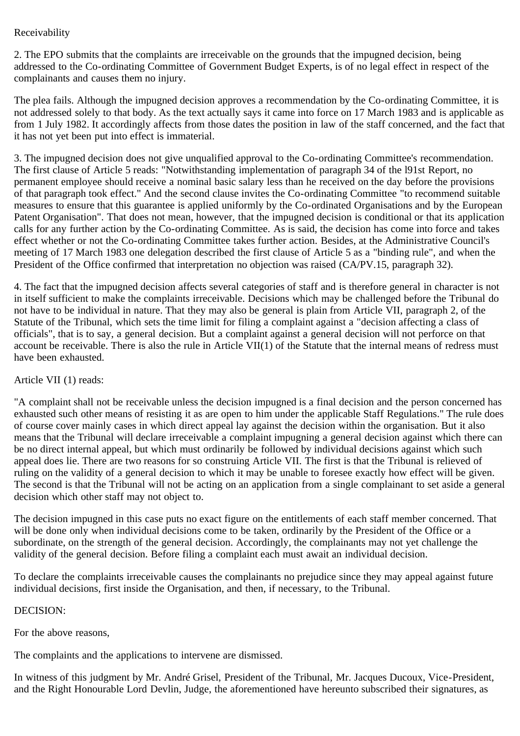# Receivability

2. The EPO submits that the complaints are irreceivable on the grounds that the impugned decision, being addressed to the Co-ordinating Committee of Government Budget Experts, is of no legal effect in respect of the complainants and causes them no injury.

The plea fails. Although the impugned decision approves a recommendation by the Co-ordinating Committee, it is not addressed solely to that body. As the text actually says it came into force on 17 March 1983 and is applicable as from 1 July 1982. It accordingly affects from those dates the position in law of the staff concerned, and the fact that it has not yet been put into effect is immaterial.

3. The impugned decision does not give unqualified approval to the Co-ordinating Committee's recommendation. The first clause of Article 5 reads: "Notwithstanding implementation of paragraph 34 of the l91st Report, no permanent employee should receive a nominal basic salary less than he received on the day before the provisions of that paragraph took effect." And the second clause invites the Co-ordinating Committee "to recommend suitable measures to ensure that this guarantee is applied uniformly by the Co-ordinated Organisations and by the European Patent Organisation". That does not mean, however, that the impugned decision is conditional or that its application calls for any further action by the Co-ordinating Committee. As is said, the decision has come into force and takes effect whether or not the Co-ordinating Committee takes further action. Besides, at the Administrative Council's meeting of 17 March 1983 one delegation described the first clause of Article 5 as a "binding rule", and when the President of the Office confirmed that interpretation no objection was raised (CA/PV.15, paragraph 32).

4. The fact that the impugned decision affects several categories of staff and is therefore general in character is not in itself sufficient to make the complaints irreceivable. Decisions which may be challenged before the Tribunal do not have to be individual in nature. That they may also be general is plain from Article VII, paragraph 2, of the Statute of the Tribunal, which sets the time limit for filing a complaint against a "decision affecting a class of officials", that is to say, a general decision. But a complaint against a general decision will not perforce on that account be receivable. There is also the rule in Article VII(1) of the Statute that the internal means of redress must have been exhausted.

## Article VII (1) reads:

"A complaint shall not be receivable unless the decision impugned is a final decision and the person concerned has exhausted such other means of resisting it as are open to him under the applicable Staff Regulations." The rule does of course cover mainly cases in which direct appeal lay against the decision within the organisation. But it also means that the Tribunal will declare irreceivable a complaint impugning a general decision against which there can be no direct internal appeal, but which must ordinarily be followed by individual decisions against which such appeal does lie. There are two reasons for so construing Article VII. The first is that the Tribunal is relieved of ruling on the validity of a general decision to which it may be unable to foresee exactly how effect will be given. The second is that the Tribunal will not be acting on an application from a single complainant to set aside a general decision which other staff may not object to.

The decision impugned in this case puts no exact figure on the entitlements of each staff member concerned. That will be done only when individual decisions come to be taken, ordinarily by the President of the Office or a subordinate, on the strength of the general decision. Accordingly, the complainants may not yet challenge the validity of the general decision. Before filing a complaint each must await an individual decision.

To declare the complaints irreceivable causes the complainants no prejudice since they may appeal against future individual decisions, first inside the Organisation, and then, if necessary, to the Tribunal.

#### DECISION:

For the above reasons,

The complaints and the applications to intervene are dismissed.

In witness of this judgment by Mr. André Grisel, President of the Tribunal, Mr. Jacques Ducoux, Vice-President, and the Right Honourable Lord Devlin, Judge, the aforementioned have hereunto subscribed their signatures, as